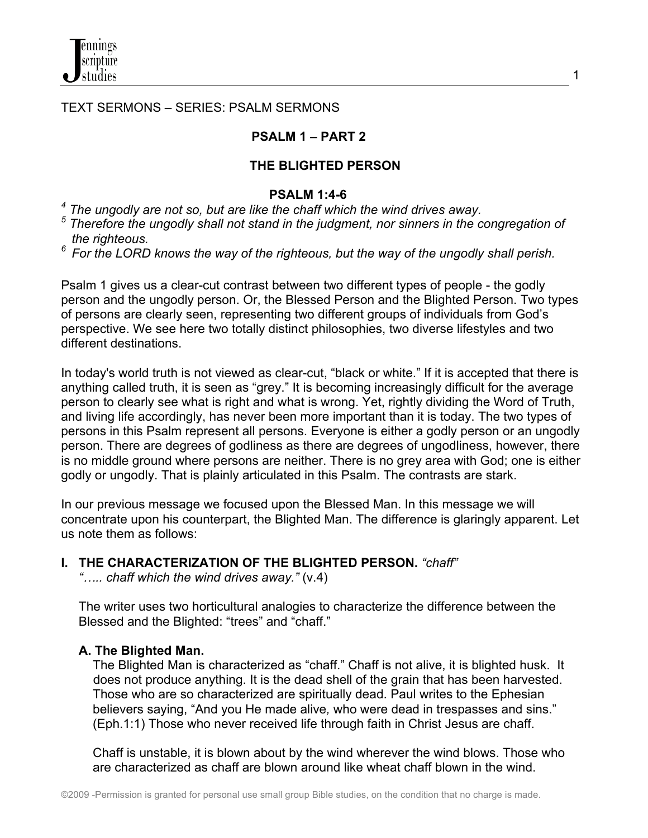### TEXT SERMONS – SERIES: PSALM SERMONS

#### **PSALM 1 – PART 2**

#### **THE BLIGHTED PERSON**

#### **PSALM 1:4-6**

<sup>4</sup> The ungodly are not so, but are like the chaff which the wind drives away.

- <sup>5</sup> Therefore the ungodly shall not stand in the judgment, nor sinners in the congregation of
- *the righteous. 6 For the LORD knows the way of the righteous, but the way of the ungodly shall perish.*

Psalm 1 gives us a clear-cut contrast between two different types of people - the godly person and the ungodly person. Or, the Blessed Person and the Blighted Person. Two types of persons are clearly seen, representing two different groups of individuals from God's perspective. We see here two totally distinct philosophies, two diverse lifestyles and two different destinations.

In today's world truth is not viewed as clear-cut, "black or white." If it is accepted that there is anything called truth, it is seen as "grey." It is becoming increasingly difficult for the average person to clearly see what is right and what is wrong. Yet, rightly dividing the Word of Truth, and living life accordingly, has never been more important than it is today. The two types of persons in this Psalm represent all persons. Everyone is either a godly person or an ungodly person. There are degrees of godliness as there are degrees of ungodliness, however, there is no middle ground where persons are neither. There is no grey area with God; one is either godly or ungodly. That is plainly articulated in this Psalm. The contrasts are stark.

In our previous message we focused upon the Blessed Man. In this message we will concentrate upon his counterpart, the Blighted Man. The difference is glaringly apparent. Let us note them as follows:

**I. THE CHARACTERIZATION OF THE BLIGHTED PERSON.** *"chaff"*

 *"….. chaff which the wind drives away."* (v.4)

 The writer uses two horticultural analogies to characterize the difference between the Blessed and the Blighted: "trees" and "chaff."

#### **A. The Blighted Man.**

 The Blighted Man is characterized as "chaff." Chaff is not alive, it is blighted husk. It does not produce anything. It is the dead shell of the grain that has been harvested. Those who are so characterized are spiritually dead. Paul writes to the Ephesian believers saying, "And you He made alive*,* who were dead in trespasses and sins." (Eph.1:1) Those who never received life through faith in Christ Jesus are chaff.

 Chaff is unstable, it is blown about by the wind wherever the wind blows. Those who are characterized as chaff are blown around like wheat chaff blown in the wind.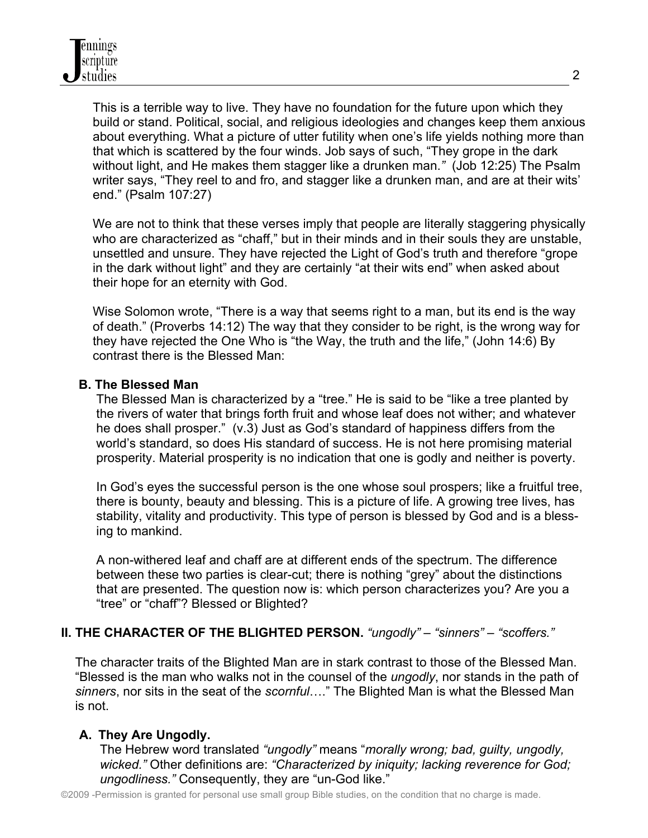This is a terrible way to live. They have no foundation for the future upon which they build or stand. Political, social, and religious ideologies and changes keep them anxious about everything. What a picture of utter futility when one's life yields nothing more than that which is scattered by the four winds. Job says of such, "They grope in the dark without light, and He makes them stagger like a drunken man.*"* (Job 12:25) The Psalm writer says, "They reel to and fro, and stagger like a drunken man, and are at their wits' end." (Psalm 107:27)

We are not to think that these verses imply that people are literally staggering physically who are characterized as "chaff," but in their minds and in their souls they are unstable, unsettled and unsure. They have rejected the Light of God's truth and therefore "grope in the dark without light" and they are certainly "at their wits end" when asked about their hope for an eternity with God.

 Wise Solomon wrote, "There is a way that seems right to a man, but its end is the way of death." (Proverbs 14:12) The way that they consider to be right, is the wrong way for they have rejected the One Who is "the Way, the truth and the life," (John 14:6) By contrast there is the Blessed Man:

## **B. The Blessed Man**

 The Blessed Man is characterized by a "tree." He is said to be "like a tree planted by the rivers of water that brings forth fruit and whose leaf does not wither; and whatever he does shall prosper." (v.3) Just as God's standard of happiness differs from the world's standard, so does His standard of success. He is not here promising material prosperity. Material prosperity is no indication that one is godly and neither is poverty.

 In God's eyes the successful person is the one whose soul prospers; like a fruitful tree, there is bounty, beauty and blessing. This is a picture of life. A growing tree lives, has stability, vitality and productivity. This type of person is blessed by God and is a bless ing to mankind.

 A non-withered leaf and chaff are at different ends of the spectrum. The difference between these two parties is clear-cut; there is nothing "grey" about the distinctions that are presented. The question now is: which person characterizes you? Are you a "tree" or "chaff"? Blessed or Blighted?

# **II. THE CHARACTER OF THE BLIGHTED PERSON.** *"ungodly" – "sinners" – "scoffers."*

 The character traits of the Blighted Man are in stark contrast to those of the Blessed Man. "Blessed is the man who walks not in the counsel of the *ungodly*, nor stands in the path of  *sinners*, nor sits in the seat of the *scornful*…." The Blighted Man is what the Blessed Man is not.

# **A. They Are Ungodly.**

 The Hebrew word translated *"ungodly"* means "*morally wrong; bad, guilty, ungodly, wicked."* Other definitions are: *"Characterized by iniquity; lacking reverence for God; ungodliness."* Consequently, they are "un-God like."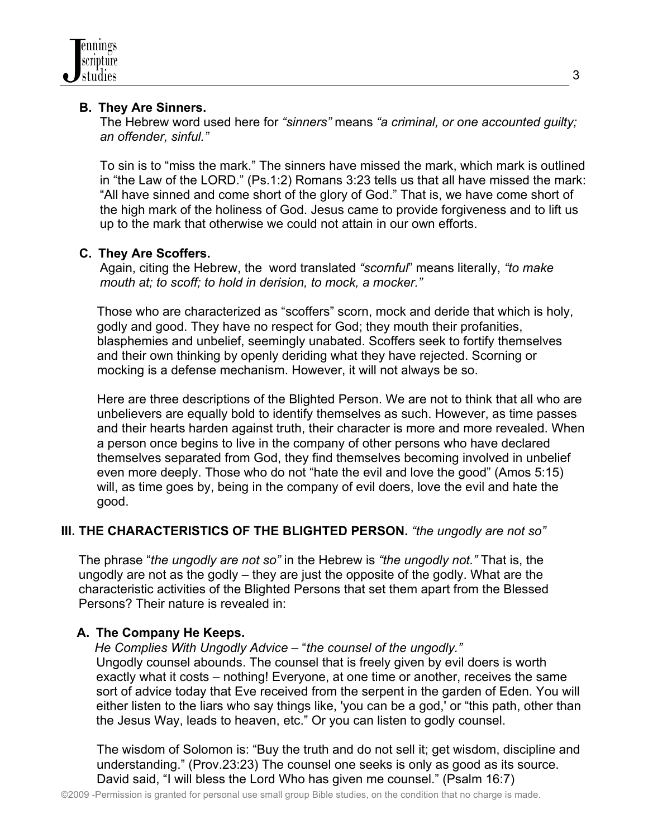# **B. They Are Sinners.**

 The Hebrew word used here for *"sinners"* means *"a criminal, or one accounted guilty; an offender, sinful."* 

 To sin is to "miss the mark." The sinners have missed the mark, which mark is outlined in "the Law of the LORD." (Ps.1:2) Romans 3:23 tells us that all have missed the mark: "All have sinned and come short of the glory of God." That is, we have come short of the high mark of the holiness of God. Jesus came to provide forgiveness and to lift us up to the mark that otherwise we could not attain in our own efforts.

# **C. They Are Scoffers.**

 Again, citing the Hebrew, the word translated *"scornful*" means literally, *"to make mouth at; to scoff; to hold in derision, to mock, a mocker."*

Those who are characterized as "scoffers" scorn, mock and deride that which is holy, godly and good. They have no respect for God; they mouth their profanities, blasphemies and unbelief, seemingly unabated. Scoffers seek to fortify themselves and their own thinking by openly deriding what they have rejected. Scorning or mocking is a defense mechanism. However, it will not always be so.

Here are three descriptions of the Blighted Person. We are not to think that all who are unbelievers are equally bold to identify themselves as such. However, as time passes and their hearts harden against truth, their character is more and more revealed. When a person once begins to live in the company of other persons who have declared themselves separated from God, they find themselves becoming involved in unbelief even more deeply. Those who do not "hate the evil and love the good" (Amos 5:15) will, as time goes by, being in the company of evil doers, love the evil and hate the good.

# **III. THE CHARACTERISTICS OF THE BLIGHTED PERSON.** *"the ungodly are not so"*

 The phrase "*the ungodly are not so"* in the Hebrew is *"the ungodly not."* That is, the ungodly are not as the godly – they are just the opposite of the godly. What are the characteristic activities of the Blighted Persons that set them apart from the Blessed Persons? Their nature is revealed in:

# **A. The Company He Keeps.**

 *He Complies With Ungodly Advice* – "*the counsel of the ungodly."*

 Ungodly counsel abounds. The counsel that is freely given by evil doers is worth exactly what it costs – nothing! Everyone, at one time or another, receives the same sort of advice today that Eve received from the serpent in the garden of Eden. You will either listen to the liars who say things like, 'you can be a god,' or "this path, other than the Jesus Way, leads to heaven, etc." Or you can listen to godly counsel.

The wisdom of Solomon is: "Buy the truth and do not sell it; get wisdom, discipline and understanding." (Prov.23:23) The counsel one seeks is only as good as its source. David said, "I will bless the Lord Who has given me counsel." (Psalm 16:7)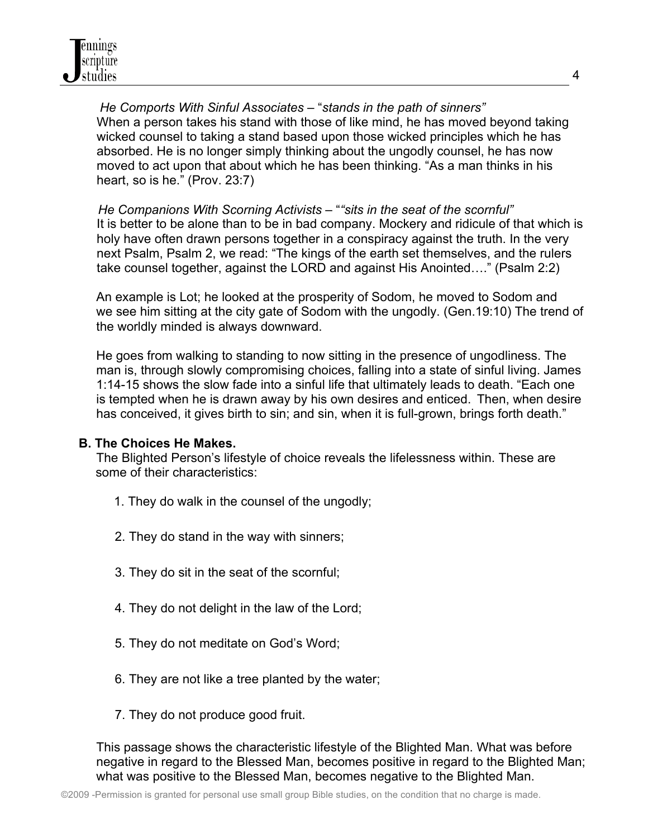*He Comports With Sinful Associates* – "*stands in the path of sinners"*  When a person takes his stand with those of like mind, he has moved beyond taking wicked counsel to taking a stand based upon those wicked principles which he has absorbed. He is no longer simply thinking about the ungodly counsel, he has now moved to act upon that about which he has been thinking. "As a man thinks in his heart, so is he." (Prov. 23:7)

*He Companions With Scorning Activists* – "*"sits in the seat of the scornful"* It is better to be alone than to be in bad company. Mockery and ridicule of that which is holy have often drawn persons together in a conspiracy against the truth. In the very next Psalm, Psalm 2, we read: "The kings of the earth set themselves, and the rulers take counsel together, against the LORD and against His Anointed…." (Psalm 2:2)

 An example is Lot; he looked at the prosperity of Sodom, he moved to Sodom and we see him sitting at the city gate of Sodom with the ungodly. (Gen.19:10) The trend of the worldly minded is always downward.

 He goes from walking to standing to now sitting in the presence of ungodliness. The man is, through slowly compromising choices, falling into a state of sinful living. James 1:14-15 shows the slow fade into a sinful life that ultimately leads to death. "Each one is tempted when he is drawn away by his own desires and enticed. Then, when desire has conceived, it gives birth to sin; and sin, when it is full-grown, brings forth death."

## **B. The Choices He Makes.**

 The Blighted Person's lifestyle of choice reveals the lifelessness within. These are some of their characteristics:

- 1. They do walk in the counsel of the ungodly;
- 2. They do stand in the way with sinners;
- 3. They do sit in the seat of the scornful;
- 4. They do not delight in the law of the Lord;
- 5. They do not meditate on God's Word;
- 6. They are not like a tree planted by the water;
- 7. They do not produce good fruit.

 This passage shows the characteristic lifestyle of the Blighted Man. What was before negative in regard to the Blessed Man, becomes positive in regard to the Blighted Man; what was positive to the Blessed Man, becomes negative to the Blighted Man.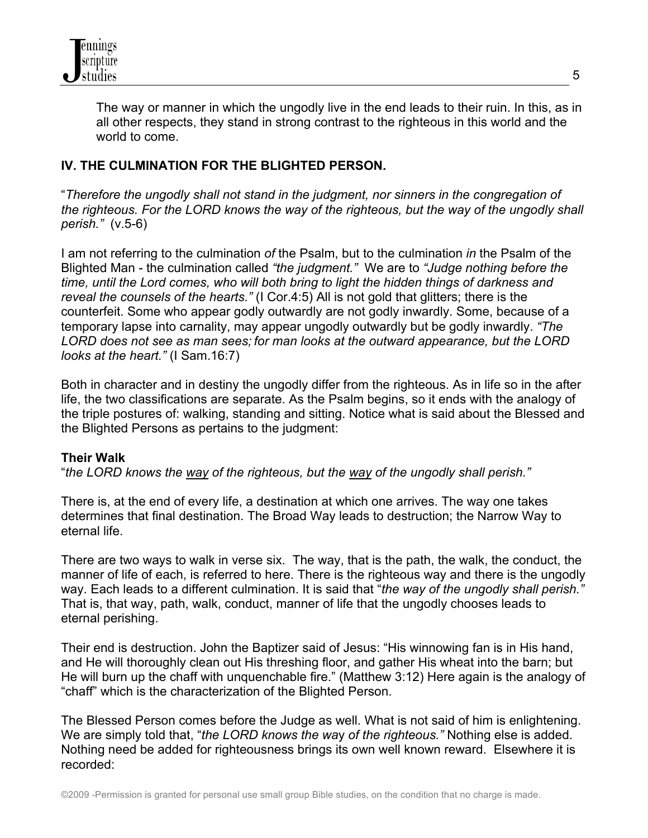

 The way or manner in which the ungodly live in the end leads to their ruin. In this, as in all other respects, they stand in strong contrast to the righteous in this world and the world to come.

## **IV. THE CULMINATION FOR THE BLIGHTED PERSON.**

"*Therefore the ungodly shall not stand in the judgment, nor sinners in the congregation of the righteous. For the LORD knows the way of the righteous, but the way of the ungodly shall perish."* (v.5-6)

I am not referring to the culmination *of* the Psalm, but to the culmination *in* the Psalm of the Blighted Man - the culmination called *"the judgment."* We are to *"Judge nothing before the time, until the Lord comes, who will both bring to light the hidden things of darkness and reveal the counsels of the hearts."* (I Cor.4:5) All is not gold that glitters; there is the counterfeit. Some who appear godly outwardly are not godly inwardly. Some, because of a temporary lapse into carnality, may appear ungodly outwardly but be godly inwardly. *"The LORD does not see as man sees; for man looks at the outward appearance, but the LORD looks at the heart."* (I Sam.16:7)

Both in character and in destiny the ungodly differ from the righteous. As in life so in the after life, the two classifications are separate. As the Psalm begins, so it ends with the analogy of the triple postures of: walking, standing and sitting. Notice what is said about the Blessed and the Blighted Persons as pertains to the judgment:

## **Their Walk**

"*the LORD knows the way of the righteous, but the way of the ungodly shall perish."*

There is, at the end of every life, a destination at which one arrives. The way one takes determines that final destination. The Broad Way leads to destruction; the Narrow Way to eternal life.

There are two ways to walk in verse six. The way, that is the path, the walk, the conduct, the manner of life of each, is referred to here. There is the righteous way and there is the ungodly way. Each leads to a different culmination. It is said that "*the way of the ungodly shall perish."* That is, that way, path, walk, conduct, manner of life that the ungodly chooses leads to eternal perishing.

Their end is destruction. John the Baptizer said of Jesus: "His winnowing fan is in His hand, and He will thoroughly clean out His threshing floor, and gather His wheat into the barn; but He will burn up the chaff with unquenchable fire." (Matthew 3:12) Here again is the analogy of "chaff" which is the characterization of the Blighted Person.

The Blessed Person comes before the Judge as well. What is not said of him is enlightening. We are simply told that, "*the LORD knows the wa*y *of the righteous."* Nothing else is added. Nothing need be added for righteousness brings its own well known reward. Elsewhere it is recorded: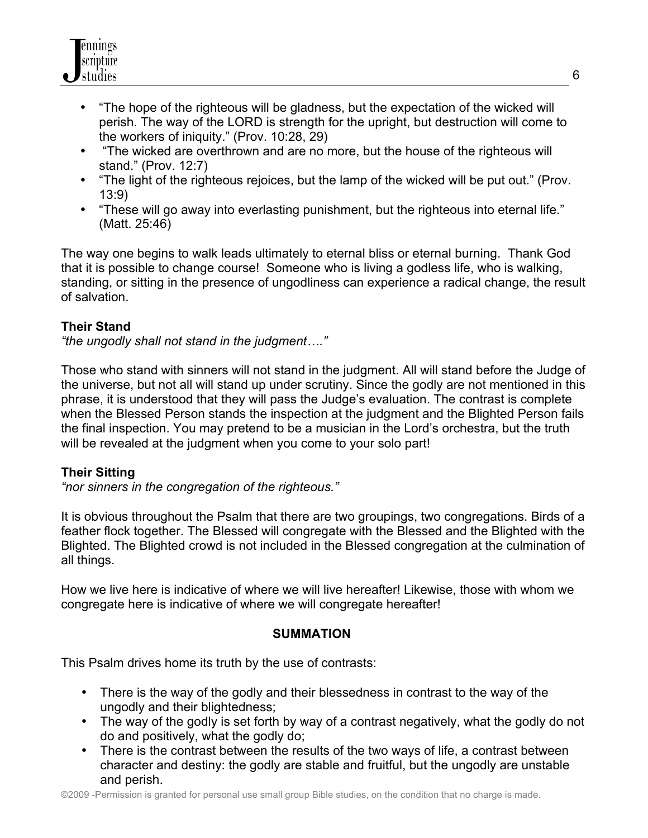

- "The hope of the righteous will be gladness, but the expectation of the wicked will perish. The way of the LORD is strength for the upright, but destruction will come to the workers of iniquity." (Prov. 10:28, 29)
- "The wicked are overthrown and are no more, but the house of the righteous will stand." (Prov. 12:7)
- "The light of the righteous rejoices, but the lamp of the wicked will be put out." (Prov. 13:9)
- "These will go away into everlasting punishment, but the righteous into eternal life." (Matt. 25:46)

The way one begins to walk leads ultimately to eternal bliss or eternal burning. Thank God that it is possible to change course! Someone who is living a godless life, who is walking, standing, or sitting in the presence of ungodliness can experience a radical change, the result of salvation.

# **Their Stand**

*"the ungodly shall not stand in the judgment…."*

Those who stand with sinners will not stand in the judgment. All will stand before the Judge of the universe, but not all will stand up under scrutiny. Since the godly are not mentioned in this phrase, it is understood that they will pass the Judge's evaluation. The contrast is complete when the Blessed Person stands the inspection at the judgment and the Blighted Person fails the final inspection. You may pretend to be a musician in the Lord's orchestra, but the truth will be revealed at the judgment when you come to your solo part!

## **Their Sitting**

*"nor sinners in the congregation of the righteous."*

It is obvious throughout the Psalm that there are two groupings, two congregations. Birds of a feather flock together. The Blessed will congregate with the Blessed and the Blighted with the Blighted. The Blighted crowd is not included in the Blessed congregation at the culmination of all things.

How we live here is indicative of where we will live hereafter! Likewise, those with whom we congregate here is indicative of where we will congregate hereafter!

## **SUMMATION**

This Psalm drives home its truth by the use of contrasts:

- There is the way of the godly and their blessedness in contrast to the way of the ungodly and their blightedness;
- The way of the godly is set forth by way of a contrast negatively, what the godly do not do and positively, what the godly do;
- There is the contrast between the results of the two ways of life, a contrast between character and destiny: the godly are stable and fruitful, but the ungodly are unstable and perish.